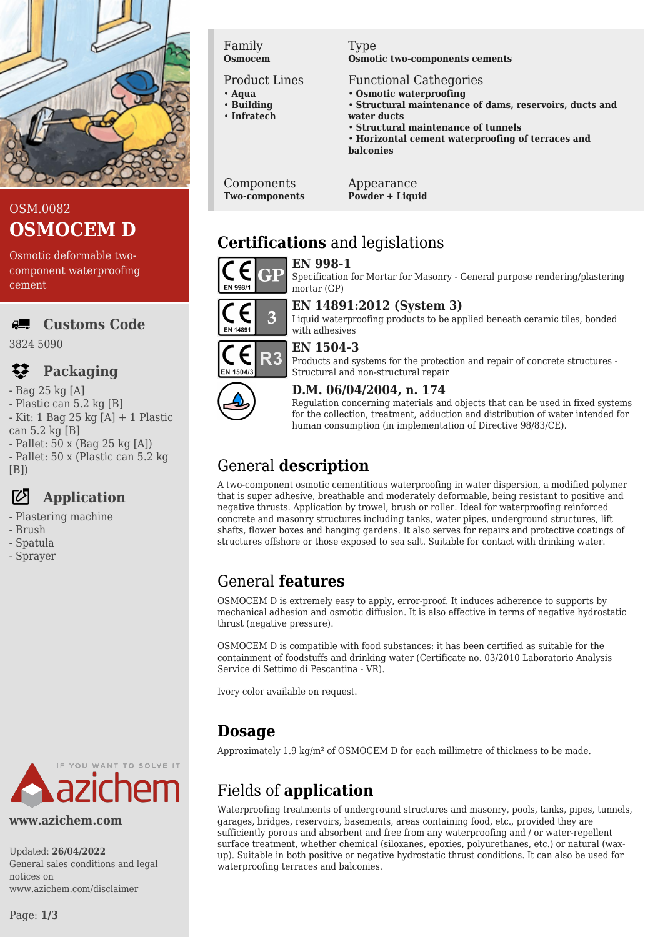

## OSM.0082 **OSMOCEM D**

Osmotic deformable twocomponent waterproofing cement

 $\overline{a}$ **Customs Code**

3824 5090

#### $\mathbf{z}$ **Packaging**

- Bag 25 kg [A]
- Plastic can 5.2 kg [B]
- Kit: 1 Bag 25 kg [A] + 1 Plastic
- can 5.2 kg [B]
- Pallet: 50 x (Bag 25 kg [A]) - Pallet: 50 x (Plastic can 5.2 kg
- $[B]$

# **Application**

- Plastering machine
- Brush
- Spatula
- Sprayer



#### **www.azichem.com**

Updated: **26/04/2022** General sales conditions and legal notices on www.azichem.com/disclaimer

#### Family **Osmocem**

Product Lines

- **Aqua** • **Building**
- **Infratech**
- 

Type **Osmotic two-components cements**

- Functional Cathegories
- **Osmotic waterproofing**
- **Structural maintenance of dams, reservoirs, ducts and water ducts**
- **Structural maintenance of tunnels**
- **Horizontal cement waterproofing of terraces and balconies**

Components **Two-components** Appearance **Powder + Liquid**

# **Certifications** and legislations



#### **EN 14891:2012 (System 3)** 3 Liquid waterproofing products to be applied beneath ceramic tiles, bonded **EN 1489** with adhesives



# **EN 1504-3** Products and systems for the protection and repair of concrete structures -



#### Structural and non-structural repair **D.M. 06/04/2004, n. 174**

Regulation concerning materials and objects that can be used in fixed systems for the collection, treatment, adduction and distribution of water intended for human consumption (in implementation of Directive 98/83/CE).

# General **description**

A two-component osmotic cementitious waterproofing in water dispersion, a modified polymer that is super adhesive, breathable and moderately deformable, being resistant to positive and negative thrusts. Application by trowel, brush or roller. Ideal for waterproofing reinforced concrete and masonry structures including tanks, water pipes, underground structures, lift shafts, flower boxes and hanging gardens. It also serves for repairs and protective coatings of structures offshore or those exposed to sea salt. Suitable for contact with drinking water.

# General **features**

OSMOCEM D is extremely easy to apply, error-proof. It induces adherence to supports by mechanical adhesion and osmotic diffusion. It is also effective in terms of negative hydrostatic thrust (negative pressure).

OSMOCEM D is compatible with food substances: it has been certified as suitable for the containment of foodstuffs and drinking water (Certificate no. 03/2010 Laboratorio Analysis Service di Settimo di Pescantina - VR).

Ivory color available on request.

## **Dosage**

Approximately 1.9 kg/m² of OSMOCEM D for each millimetre of thickness to be made.

# Fields of **application**

Waterproofing treatments of underground structures and masonry, pools, tanks, pipes, tunnels, garages, bridges, reservoirs, basements, areas containing food, etc., provided they are sufficiently porous and absorbent and free from any waterproofing and / or water-repellent surface treatment, whether chemical (siloxanes, epoxies, polyurethanes, etc.) or natural (waxup). Suitable in both positive or negative hydrostatic thrust conditions. It can also be used for waterproofing terraces and balconies.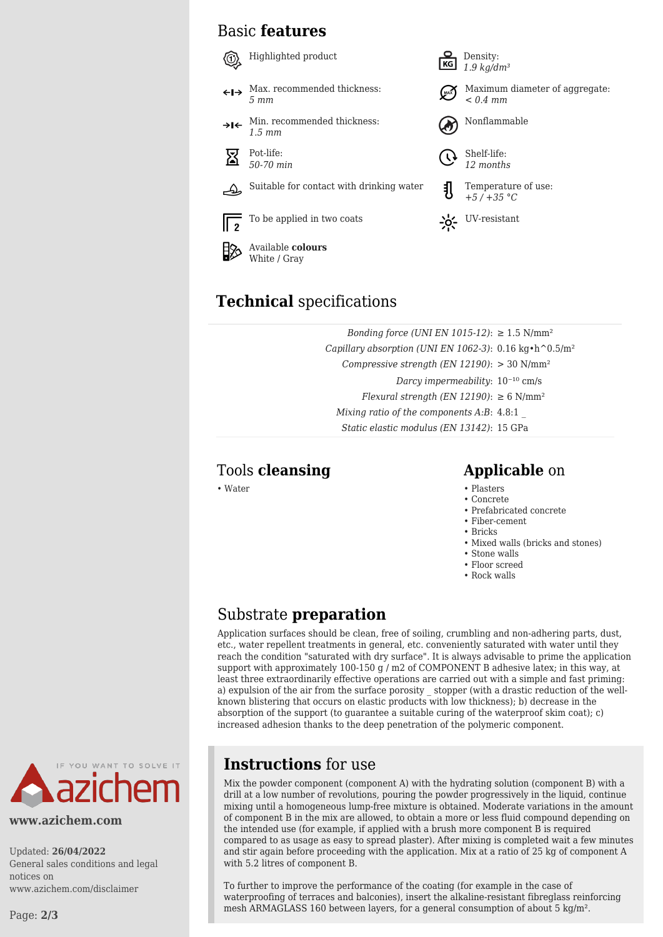## Basic **features**





Maximum diameter of aggregate: *< 0.4 mm*





*+5 / +35 °C*

# **Technical** specifications

Available **colours** White / Gray

> *Bonding force (UNI EN 1015-12)*: ≥ 1.5 N/mm<sup>2</sup> *Capillary absorption (UNI EN 1062-3)*: 0.16 kg•h^0.5/m² *Compressive strength (EN 12190)*: > 30 N/mm² *Darcy impermeability*:  $10^{-10}$  cm/s *Flexural strength (EN 12190)*:  $\geq 6$  N/mm<sup>2</sup> *Mixing ratio of the components A:B*: 4.8:1 \_ *Static elastic modulus (EN 13142)*: 15 GPa

## Tools **cleansing Applicable** on

- Water Plasters
	- Concrete
	- Prefabricated concrete
	- Fiber-cement
	- Bricks
	- Mixed walls (bricks and stones)
	- Stone walls
	- Floor screed
	- Rock walls

## Substrate **preparation**

Application surfaces should be clean, free of soiling, crumbling and non-adhering parts, dust, etc., water repellent treatments in general, etc. conveniently saturated with water until they reach the condition "saturated with dry surface". It is always advisable to prime the application support with approximately 100-150 g / m2 of COMPONENT B adhesive latex; in this way, at least three extraordinarily effective operations are carried out with a simple and fast priming: a) expulsion of the air from the surface porosity stopper (with a drastic reduction of the wellknown blistering that occurs on elastic products with low thickness); b) decrease in the absorption of the support (to guarantee a suitable curing of the waterproof skim coat); c) increased adhesion thanks to the deep penetration of the polymeric component.



#### **www.azichem.com**

Updated: **26/04/2022** General sales conditions and legal notices on www.azichem.com/disclaimer

Page: **2/3**

## **Instructions** for use

Mix the powder component (component A) with the hydrating solution (component B) with a drill at a low number of revolutions, pouring the powder progressively in the liquid, continue mixing until a homogeneous lump-free mixture is obtained. Moderate variations in the amount of component B in the mix are allowed, to obtain a more or less fluid compound depending on the intended use (for example, if applied with a brush more component B is required compared to as usage as easy to spread plaster). After mixing is completed wait a few minutes and stir again before proceeding with the application. Mix at a ratio of 25 kg of component A with 5.2 litres of component B.

To further to improve the performance of the coating (for example in the case of waterproofing of terraces and balconies), insert the alkaline-resistant fibreglass reinforcing mesh ARMAGLASS 160 between layers, for a general consumption of about 5 kg/m².